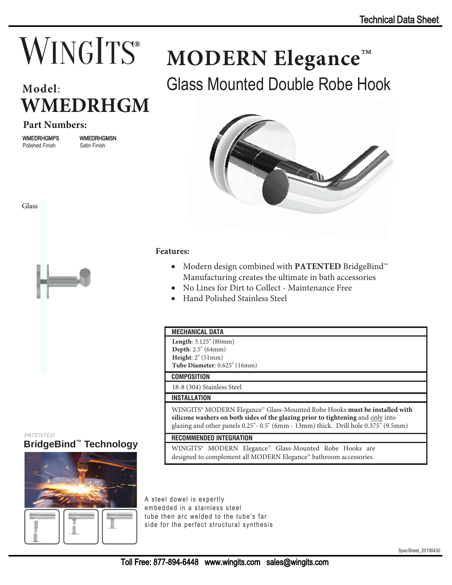# **WINGITS<sup>®</sup> MODERN Elegance™**

# **Model**: **WMEDRHGM**

# **Part Numbers:**

| <b>WMEDRHGMPS</b>      |  |
|------------------------|--|
| <b>Polished Finish</b> |  |

Glass

**WMEDRHGMSN** Satin Finish



Glass Mounted Double Robe Hook

## **Features:**

- Modern design combined with **PATENTED** BridgeBind™ Manufacturing creates the ultimate in bath accessories
- No Lines for Dirt to Collect Maintenance Free
- Hand Polished Stainless Steel

#### **MECHANICAL DATA**

**Length**: 3.125" (80mm) **Depth**: 2.5" (64mm) **Height**: 2" (51mm) **Tube Diameter**: 0.625" (16mm)

#### **COMPOSITION**

18-8 (304) Stainless Steel

## **INSTALLATION**

WINGITS® MODERN Elegance™ Glass-Mounted Robe Hooks **must be installed with silicone washers on both sides of the glazing prior to tightening** and only into glazing and other panels 0.25"- 0.5" (6mm - 13mm) thick. Drill hole 0.375" (9.5mm)

#### **RECOMMENDED INTEGRATION**

WINGITS<sup>®</sup> MODERN Elegance™ Glass-Mounted Robe Hooks are designed to complement all MODERN Elegance™ bathroom accessories.

A steel dowel is expertly embedded in a stainless steel tube then arc welded to the tube's far side for the perfect structural synthesis

*PATENTED* **BridgeBind™ Technology**